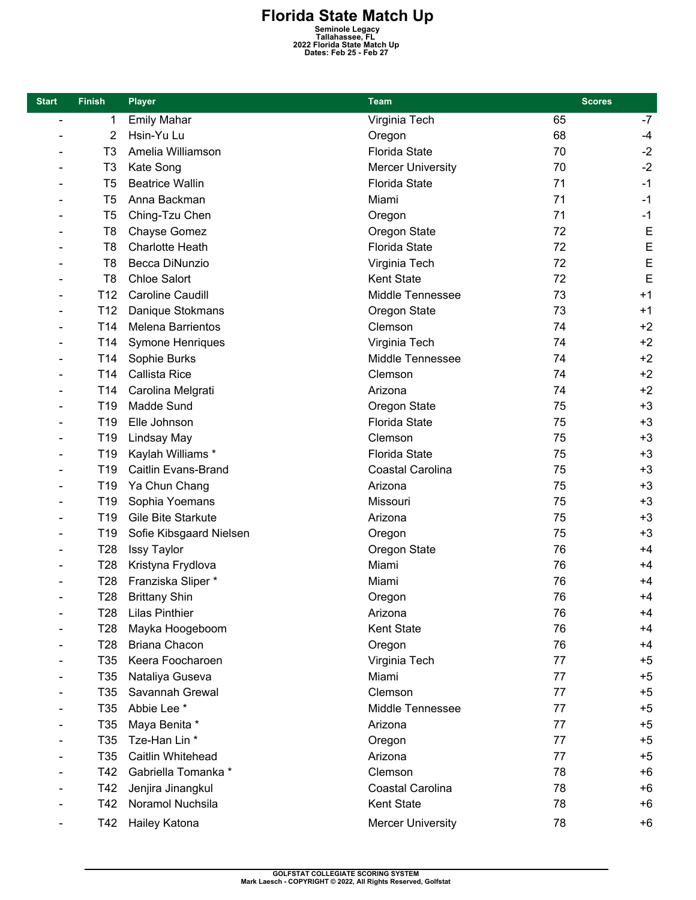**Florida State Match Up**<br>
Seminole Legacy<br>
Tallahassee, FL<br>
2022 Florida State Match Up<br>
Dates: Feb 25 - Feb 27

| <b>Start</b>    | <b>Finish</b>   | <b>Player</b>           | <b>Team</b>              | <b>Scores</b> |      |
|-----------------|-----------------|-------------------------|--------------------------|---------------|------|
| $\overline{a}$  | 1               | <b>Emily Mahar</b>      | Virginia Tech            | 65            | $-7$ |
|                 | 2               | Hsin-Yu Lu              | Oregon                   | 68            | -4   |
|                 | T <sub>3</sub>  | Amelia Williamson       | <b>Florida State</b>     | 70            | $-2$ |
|                 | T <sub>3</sub>  | Kate Song               | <b>Mercer University</b> | 70            | $-2$ |
| $\qquad \qquad$ | T <sub>5</sub>  | <b>Beatrice Wallin</b>  | <b>Florida State</b>     | 71            | $-1$ |
|                 | T <sub>5</sub>  | Anna Backman            | Miami                    | 71            | $-1$ |
|                 | T <sub>5</sub>  | Ching-Tzu Chen          | Oregon                   | 71            | $-1$ |
|                 | T <sub>8</sub>  | Chayse Gomez            | Oregon State             | 72            | E    |
|                 | T <sub>8</sub>  | <b>Charlotte Heath</b>  | <b>Florida State</b>     | 72            | E    |
|                 | T8              | Becca DiNunzio          | Virginia Tech            | 72            | E    |
| $\qquad \qquad$ | T <sub>8</sub>  | <b>Chloe Salort</b>     | Kent State               | 72            | E    |
|                 | T <sub>12</sub> | Caroline Caudill        | Middle Tennessee         | 73            | $+1$ |
| ÷               | T <sub>12</sub> | Danique Stokmans        | Oregon State             | 73            | $+1$ |
| $\qquad \qquad$ | T14             | Melena Barrientos       | Clemson                  | 74            | $+2$ |
|                 | T <sub>14</sub> | <b>Symone Henriques</b> | Virginia Tech            | 74            | $+2$ |
|                 | T14             | Sophie Burks            | Middle Tennessee         | 74            | $+2$ |
|                 | T14             | <b>Callista Rice</b>    | Clemson                  | 74            | $+2$ |
|                 | T <sub>14</sub> | Carolina Melgrati       | Arizona                  | 74            | $+2$ |
|                 | T <sub>19</sub> | Madde Sund              | Oregon State             | 75            | $+3$ |
|                 | T <sub>19</sub> | Elle Johnson            | <b>Florida State</b>     | 75            | $+3$ |
|                 | T <sub>19</sub> | Lindsay May             | Clemson                  | 75            | $+3$ |
|                 | T <sub>19</sub> | Kaylah Williams *       | <b>Florida State</b>     | 75            | $+3$ |
|                 | T <sub>19</sub> | Caitlin Evans-Brand     | Coastal Carolina         | 75            | $+3$ |
|                 | T <sub>19</sub> | Ya Chun Chang           | Arizona                  | 75            | $+3$ |
|                 | T <sub>19</sub> | Sophia Yoemans          | Missouri                 | 75            | $+3$ |
|                 | T <sub>19</sub> | Gile Bite Starkute      | Arizona                  | 75            | $+3$ |
|                 | T <sub>19</sub> | Sofie Kibsgaard Nielsen | Oregon                   | 75            | $+3$ |
|                 | T <sub>28</sub> | <b>Issy Taylor</b>      | Oregon State             | 76            | $+4$ |
|                 | T28             | Kristyna Frydlova       | Miami                    | 76            | +4   |
|                 | T28             | Franziska Sliper *      | Miami                    | 76            | $+4$ |
|                 | T <sub>28</sub> | <b>Brittany Shin</b>    | Oregon                   | 76            | $+4$ |
|                 | T <sub>28</sub> | <b>Lilas Pinthier</b>   | Arizona                  | 76            | $+4$ |
|                 | T <sub>28</sub> | Mayka Hoogeboom         | Kent State               | 76            | $+4$ |
|                 | T <sub>28</sub> | <b>Briana Chacon</b>    | Oregon                   | 76            | $+4$ |
|                 | T <sub>35</sub> | Keera Foocharoen        | Virginia Tech            | 77            | $+5$ |
|                 | T35             | Nataliya Guseva         | Miami                    | 77            | $+5$ |
|                 | T <sub>35</sub> | Savannah Grewal         | Clemson                  | 77            | $+5$ |
|                 | T35             | Abbie Lee *             | Middle Tennessee         | 77            | $+5$ |
|                 | T35             | Maya Benita *           | Arizona                  | 77            | $+5$ |
|                 | T35             | Tze-Han Lin *           | Oregon                   | 77            | $+5$ |
|                 | T35             | Caitlin Whitehead       | Arizona                  | 77            | $+5$ |
|                 | T42             | Gabriella Tomanka *     | Clemson                  | 78            | $+6$ |
|                 | T42             | Jenjira Jinangkul       | Coastal Carolina         | 78            | $+6$ |
|                 | T42             | Noramol Nuchsila        | Kent State               | 78            | +6   |
|                 | T42             | Hailey Katona           | <b>Mercer University</b> | 78            | +6   |